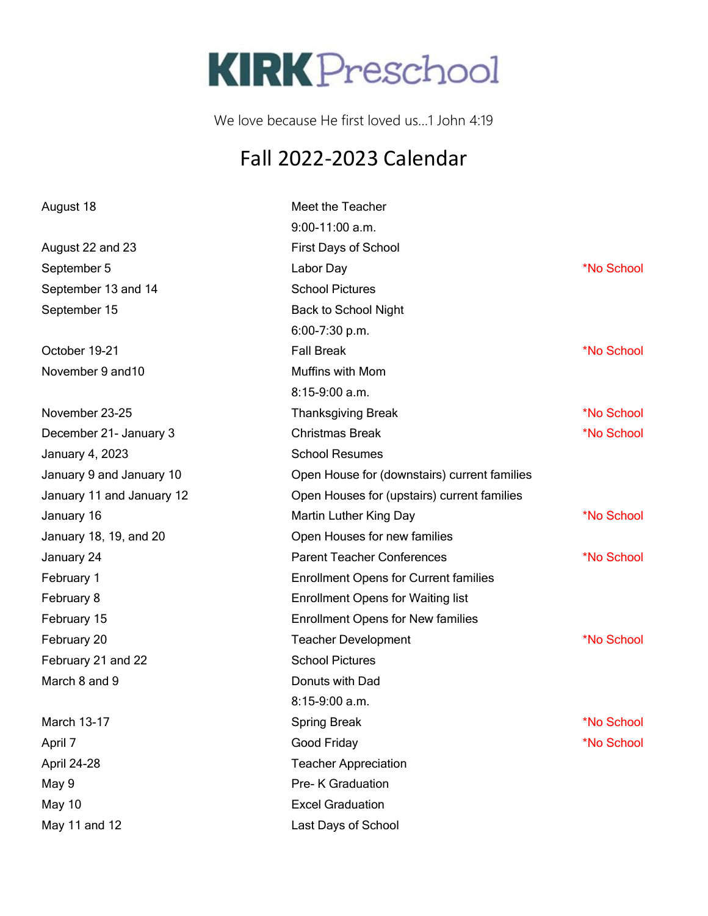## **KIRK** Preschool

We love because He first loved us…1 John 4:19

## Fall 2022-2023 Calendar

| August 18                 | Meet the Teacher                             |            |
|---------------------------|----------------------------------------------|------------|
|                           | $9:00-11:00$ a.m.                            |            |
| August 22 and 23          | <b>First Days of School</b>                  |            |
| September 5               | Labor Day                                    | *No School |
| September 13 and 14       | <b>School Pictures</b>                       |            |
| September 15              | <b>Back to School Night</b>                  |            |
|                           | 6:00-7:30 p.m.                               |            |
| October 19-21             | <b>Fall Break</b>                            | *No School |
| November 9 and 10         | Muffins with Mom                             |            |
|                           | $8:15-9:00$ a.m.                             |            |
| November 23-25            | <b>Thanksgiving Break</b>                    | *No School |
| December 21- January 3    | <b>Christmas Break</b>                       | *No School |
| January 4, 2023           | <b>School Resumes</b>                        |            |
| January 9 and January 10  | Open House for (downstairs) current families |            |
| January 11 and January 12 | Open Houses for (upstairs) current families  |            |
| January 16                | Martin Luther King Day                       | *No School |
| January 18, 19, and 20    | Open Houses for new families                 |            |
| January 24                | <b>Parent Teacher Conferences</b>            | *No School |
| February 1                | <b>Enrollment Opens for Current families</b> |            |
| February 8                | <b>Enrollment Opens for Waiting list</b>     |            |
| February 15               | <b>Enrollment Opens for New families</b>     |            |
| February 20               | <b>Teacher Development</b>                   | *No School |
| February 21 and 22        | <b>School Pictures</b>                       |            |
| March 8 and 9             | Donuts with Dad                              |            |
|                           | 8:15-9:00 a.m.                               |            |
| March 13-17               | <b>Spring Break</b>                          | *No School |
| April 7                   | Good Friday                                  | *No School |
| April 24-28               | <b>Teacher Appreciation</b>                  |            |
| May 9                     | Pre- K Graduation                            |            |
| May 10                    | <b>Excel Graduation</b>                      |            |
| May 11 and 12             | Last Days of School                          |            |